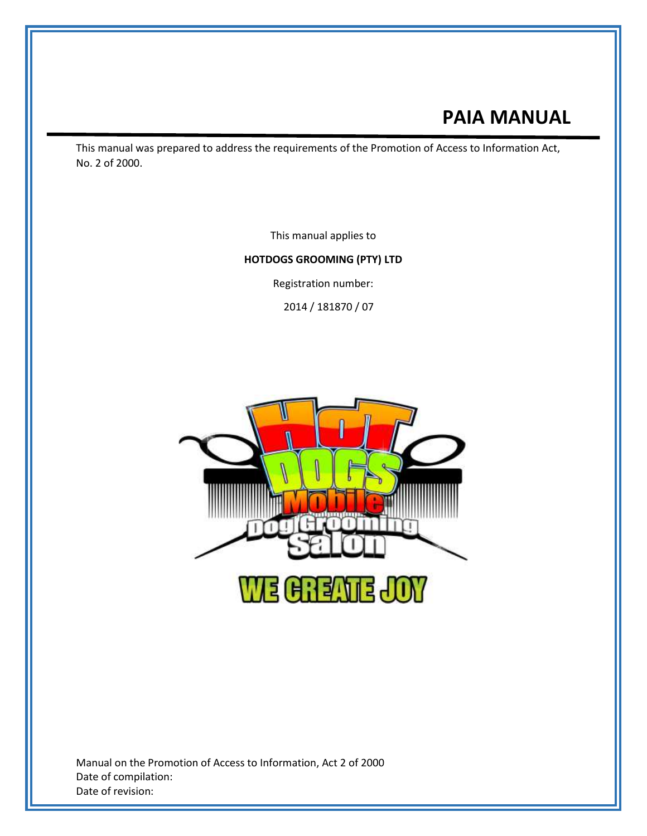# **PAIA MANUAL**

This manual was prepared to address the requirements of the Promotion of Access to Information Act, No. 2 of 2000.

This manual applies to

#### **HOTDOGS GROOMING (PTY) LTD**

Registration number:

2014 / 181870 / 07



Manual on the Promotion of Access to Information, Act 2 of 2000 Date of compilation: Date of revision: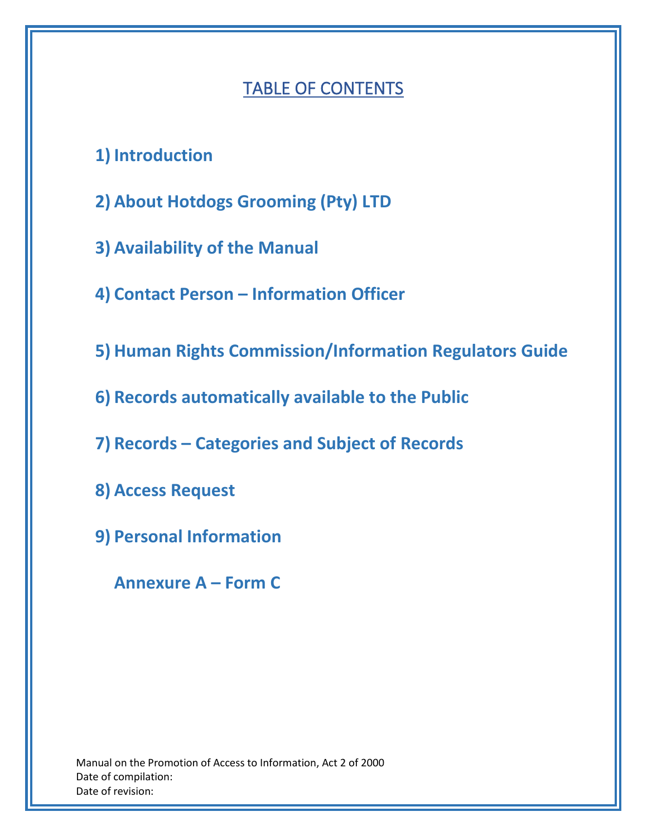# TABLE OF CONTENTS

- **1) Introduction**
- **2) About Hotdogs Grooming (Pty) LTD**
- **3) Availability of the Manual**
- **4) Contact Person – Information Officer**
- **5) Human Rights Commission/Information Regulators Guide**
- **6) Records automatically available to the Public**
- **7) Records – Categories and Subject of Records**
- **8) Access Request**
- **9) Personal Information**

**Annexure A – Form C**

Manual on the Promotion of Access to Information, Act 2 of 2000 Date of compilation: Date of revision: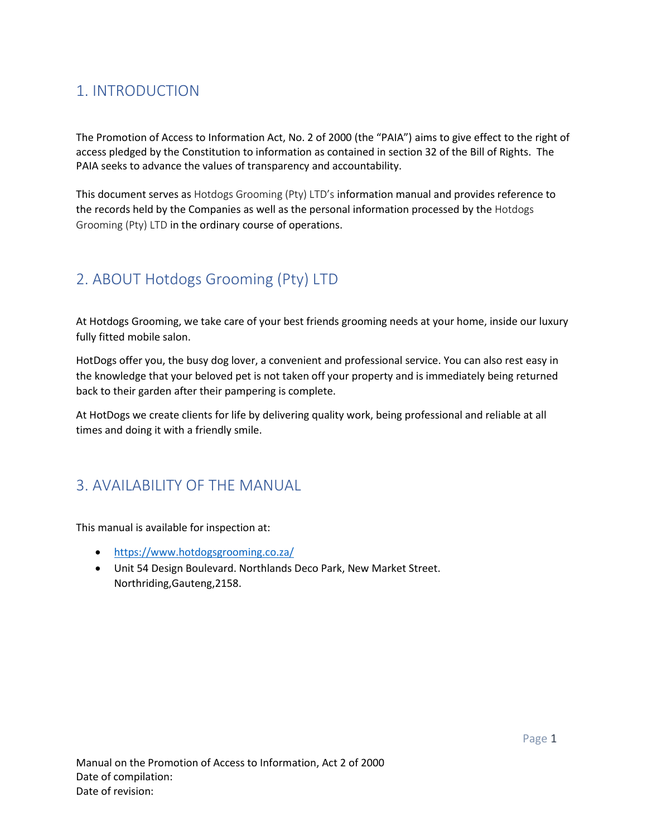## 1. INTRODUCTION

The Promotion of Access to Information Act, No. 2 of 2000 (the "PAIA") aims to give effect to the right of access pledged by the Constitution to information as contained in section 32 of the Bill of Rights. The PAIA seeks to advance the values of transparency and accountability.

This document serves as Hotdogs Grooming (Pty) LTD's information manual and provides reference to the records held by the Companies as well as the personal information processed by the Hotdogs Grooming (Pty) LTD in the ordinary course of operations.

## 2. ABOUT Hotdogs Grooming (Pty) LTD

At Hotdogs Grooming, we take care of your best friends grooming needs at your home, inside our luxury fully fitted mobile salon.

HotDogs offer you, the busy dog lover, a convenient and professional service. You can also rest easy in the knowledge that your beloved pet is not taken off your property and is immediately being returned back to their garden after their pampering is complete.

At HotDogs we create clients for life by delivering quality work, being professional and reliable at all times and doing it with a friendly smile.

## 3. AVAILABILITY OF THE MANUAL

This manual is available for inspection at:

- <https://www.hotdogsgrooming.co.za/>
- Unit 54 Design Boulevard. Northlands Deco Park, New Market Street. Northriding,Gauteng,2158.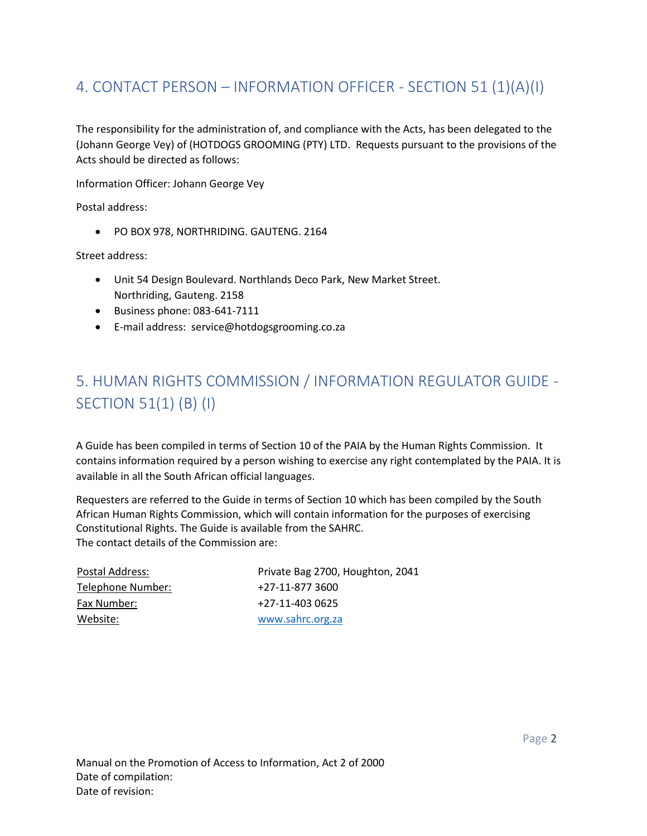## 4. CONTACT PERSON – INFORMATION OFFICER - SECTION 51 (1)(A)(I)

The responsibility for the administration of, and compliance with the Acts, has been delegated to the (Johann George Vey) of (HOTDOGS GROOMING (PTY) LTD. Requests pursuant to the provisions of the Acts should be directed as follows:

Information Officer: Johann George Vey

Postal address:

• PO BOX 978, NORTHRIDING. GAUTENG. 2164

Street address:

- Unit 54 Design Boulevard. Northlands Deco Park, New Market Street. Northriding, Gauteng. 2158
- Business phone: 083-641-7111
- E-mail address: service@hotdogsgrooming.co.za

# 5. HUMAN RIGHTS COMMISSION / INFORMATION REGULATOR GUIDE - SECTION 51(1) (B) (I)

A Guide has been compiled in terms of Section 10 of the PAIA by the Human Rights Commission. It contains information required by a person wishing to exercise any right contemplated by the PAIA. It is available in all the South African official languages.

Requesters are referred to the Guide in terms of Section 10 which has been compiled by the South African Human Rights Commission, which will contain information for the purposes of exercising Constitutional Rights. The Guide is available from the SAHRC. The contact details of the Commission are:

| Postal Address:   | Private Bag 2700, Houghton, 2041 |
|-------------------|----------------------------------|
| Telephone Number: | +27-11-877 3600                  |
| Fax Number:       | +27-11-403 0625                  |
| Website:          | www.sahrc.org.za                 |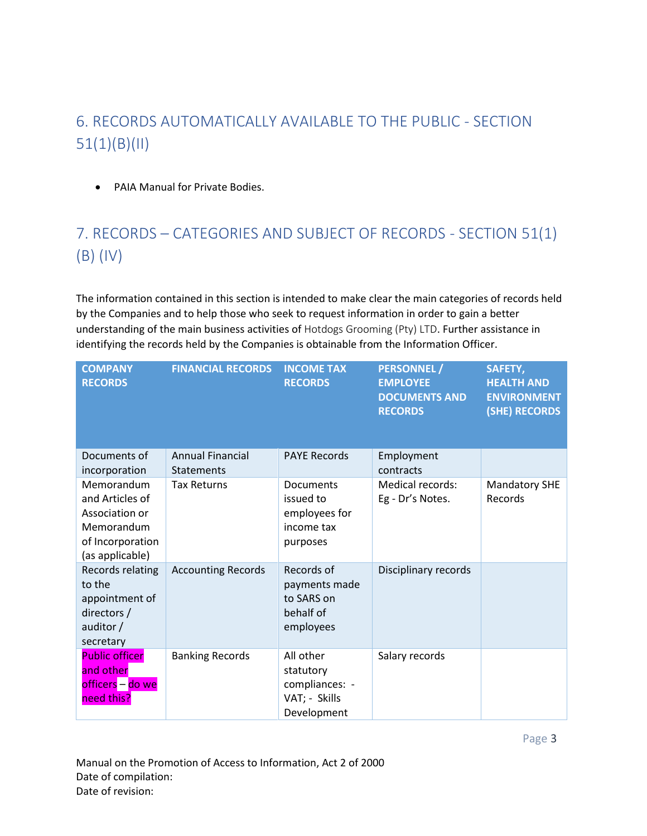## 6. RECORDS AUTOMATICALLY AVAILABLE TO THE PUBLIC - SECTION 51(1)(B)(II)

• PAIA Manual for Private Bodies.

# 7. RECORDS – CATEGORIES AND SUBJECT OF RECORDS - SECTION 51(1) (B) (IV)

The information contained in this section is intended to make clear the main categories of records held by the Companies and to help those who seek to request information in order to gain a better understanding of the main business activities of Hotdogs Grooming (Pty) LTD. Further assistance in identifying the records held by the Companies is obtainable from the Information Officer.

| <b>COMPANY</b><br><b>RECORDS</b>                                                                     | <b>FINANCIAL RECORDS</b>              | <b>INCOME TAX</b><br><b>RECORDS</b>                                      | <b>PERSONNEL /</b><br><b>EMPLOYEE</b><br><b>DOCUMENTS AND</b><br><b>RECORDS</b> | SAFETY,<br><b>HEALTH AND</b><br><b>ENVIRONMENT</b><br>(SHE) RECORDS |
|------------------------------------------------------------------------------------------------------|---------------------------------------|--------------------------------------------------------------------------|---------------------------------------------------------------------------------|---------------------------------------------------------------------|
| Documents of<br>incorporation                                                                        | <b>Annual Financial</b><br>Statements | <b>PAYE Records</b>                                                      | Employment<br>contracts                                                         |                                                                     |
| Memorandum<br>and Articles of<br>Association or<br>Memorandum<br>of Incorporation<br>(as applicable) | <b>Tax Returns</b>                    | Documents<br>issued to<br>employees for<br>income tax<br>purposes        | <b>Medical records:</b><br>Eg - Dr's Notes.                                     | <b>Mandatory SHE</b><br>Records                                     |
| Records relating<br>to the<br>appointment of<br>directors /<br>auditor /<br>secretary                | <b>Accounting Records</b>             | Records of<br>payments made<br>to SARS on<br>behalf of<br>employees      | Disciplinary records                                                            |                                                                     |
| <b>Public officer</b><br>and other<br>officers – do we<br>need this?                                 | <b>Banking Records</b>                | All other<br>statutory<br>compliances: -<br>VAT; - Skills<br>Development | Salary records                                                                  |                                                                     |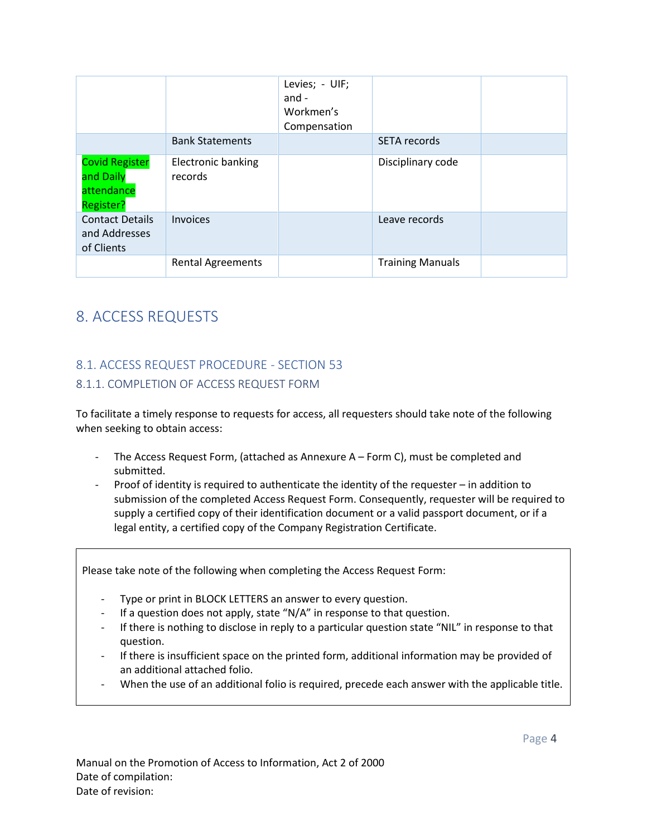|                                                               |                                      | Levies; - UIF;<br>and -<br>Workmen's<br>Compensation |                         |  |
|---------------------------------------------------------------|--------------------------------------|------------------------------------------------------|-------------------------|--|
|                                                               | <b>Bank Statements</b>               |                                                      | SETA records            |  |
| <b>Covid Register</b><br>and Daily<br>attendance<br>Register? | <b>Electronic banking</b><br>records |                                                      | Disciplinary code       |  |
| <b>Contact Details</b><br>and Addresses<br>of Clients         | Invoices                             |                                                      | Leave records           |  |
|                                                               | <b>Rental Agreements</b>             |                                                      | <b>Training Manuals</b> |  |

## 8. ACCESS REQUESTS

## 8.1. ACCESS REQUEST PROCEDURE - SECTION 53 8.1.1. COMPLETION OF ACCESS REQUEST FORM

To facilitate a timely response to requests for access, all requesters should take note of the following when seeking to obtain access:

- The Access Request Form, (attached as Annexure A Form C), must be completed and submitted.
- Proof of identity is required to authenticate the identity of the requester  $-$  in addition to submission of the completed Access Request Form. Consequently, requester will be required to supply a certified copy of their identification document or a valid passport document, or if a legal entity, a certified copy of the Company Registration Certificate.

Please take note of the following when completing the Access Request Form:

- Type or print in BLOCK LETTERS an answer to every question.
- If a question does not apply, state "N/A" in response to that question.
- If there is nothing to disclose in reply to a particular question state "NIL" in response to that question.
- If there is insufficient space on the printed form, additional information may be provided of an additional attached folio.
- When the use of an additional folio is required, precede each answer with the applicable title.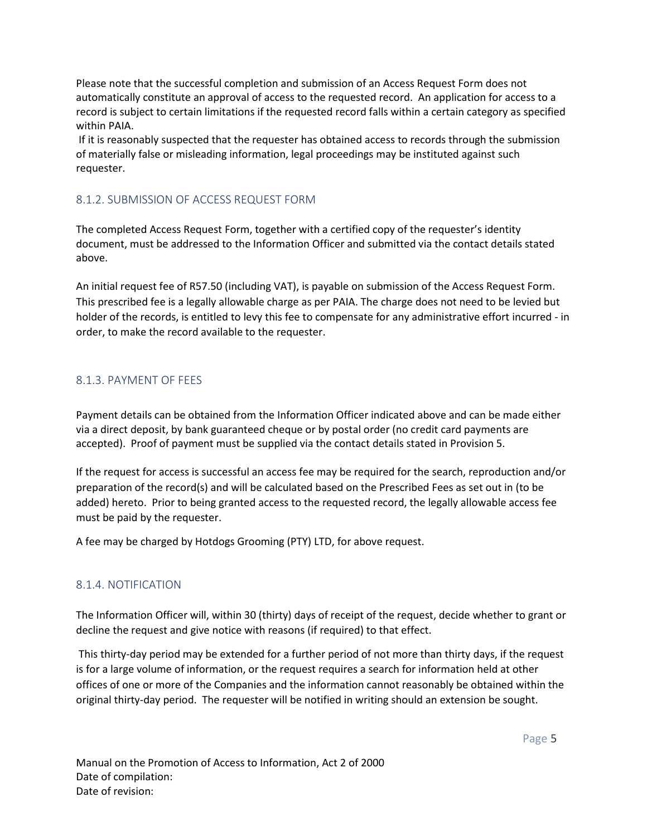Please note that the successful completion and submission of an Access Request Form does not automatically constitute an approval of access to the requested record. An application for access to a record is subject to certain limitations if the requested record falls within a certain category as specified within PAIA.

If it is reasonably suspected that the requester has obtained access to records through the submission of materially false or misleading information, legal proceedings may be instituted against such requester.

#### 8.1.2. SUBMISSION OF ACCESS REQUEST FORM

The completed Access Request Form, together with a certified copy of the requester's identity document, must be addressed to the Information Officer and submitted via the contact details stated above.

An initial request fee of R57.50 (including VAT), is payable on submission of the Access Request Form. This prescribed fee is a legally allowable charge as per PAIA. The charge does not need to be levied but holder of the records, is entitled to levy this fee to compensate for any administrative effort incurred - in order, to make the record available to the requester.

#### 8.1.3. PAYMENT OF FEES

Payment details can be obtained from the Information Officer indicated above and can be made either via a direct deposit, by bank guaranteed cheque or by postal order (no credit card payments are accepted). Proof of payment must be supplied via the contact details stated in Provision 5.

If the request for access is successful an access fee may be required for the search, reproduction and/or preparation of the record(s) and will be calculated based on the Prescribed Fees as set out in (to be added) hereto. Prior to being granted access to the requested record, the legally allowable access fee must be paid by the requester.

A fee may be charged by Hotdogs Grooming (PTY) LTD, for above request.

#### 8.1.4. NOTIFICATION

The Information Officer will, within 30 (thirty) days of receipt of the request, decide whether to grant or decline the request and give notice with reasons (if required) to that effect.

This thirty-day period may be extended for a further period of not more than thirty days, if the request is for a large volume of information, or the request requires a search for information held at other offices of one or more of the Companies and the information cannot reasonably be obtained within the original thirty-day period. The requester will be notified in writing should an extension be sought.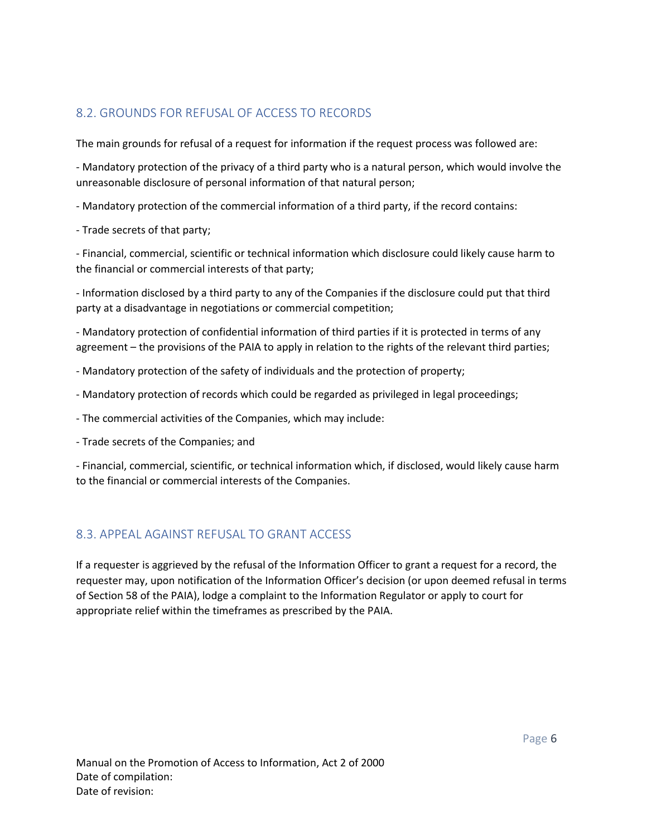### 8.2. GROUNDS FOR REFUSAL OF ACCESS TO RECORDS

The main grounds for refusal of a request for information if the request process was followed are:

- Mandatory protection of the privacy of a third party who is a natural person, which would involve the unreasonable disclosure of personal information of that natural person;

- Mandatory protection of the commercial information of a third party, if the record contains:

- Trade secrets of that party;

- Financial, commercial, scientific or technical information which disclosure could likely cause harm to the financial or commercial interests of that party;

- Information disclosed by a third party to any of the Companies if the disclosure could put that third party at a disadvantage in negotiations or commercial competition;

- Mandatory protection of confidential information of third parties if it is protected in terms of any agreement – the provisions of the PAIA to apply in relation to the rights of the relevant third parties;

- Mandatory protection of the safety of individuals and the protection of property;

- Mandatory protection of records which could be regarded as privileged in legal proceedings;
- The commercial activities of the Companies, which may include:
- Trade secrets of the Companies; and

- Financial, commercial, scientific, or technical information which, if disclosed, would likely cause harm to the financial or commercial interests of the Companies.

### 8.3. APPEAL AGAINST REFUSAL TO GRANT ACCESS

If a requester is aggrieved by the refusal of the Information Officer to grant a request for a record, the requester may, upon notification of the Information Officer's decision (or upon deemed refusal in terms of Section 58 of the PAIA), lodge a complaint to the Information Regulator or apply to court for appropriate relief within the timeframes as prescribed by the PAIA.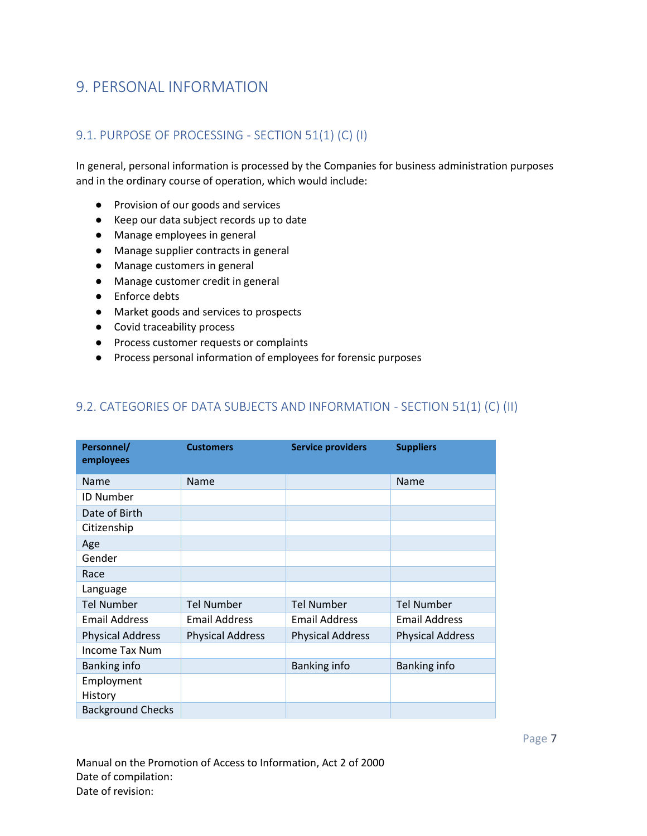## 9. PERSONAL INFORMATION

### 9.1. PURPOSE OF PROCESSING - SECTION 51(1) (C) (I)

In general, personal information is processed by the Companies for business administration purposes and in the ordinary course of operation, which would include:

- Provision of our goods and services
- Keep our data subject records up to date
- Manage employees in general
- Manage supplier contracts in general
- Manage customers in general
- Manage customer credit in general
- Enforce debts
- Market goods and services to prospects
- Covid traceability process
- Process customer requests or complaints
- Process personal information of employees for forensic purposes

### 9.2. CATEGORIES OF DATA SUBJECTS AND INFORMATION - SECTION 51(1) (C) (II)

| Personnel/<br>employees  | <b>Customers</b>        | <b>Service providers</b> | <b>Suppliers</b>        |
|--------------------------|-------------------------|--------------------------|-------------------------|
| Name                     | Name                    |                          | Name                    |
| <b>ID Number</b>         |                         |                          |                         |
| Date of Birth            |                         |                          |                         |
| Citizenship              |                         |                          |                         |
| Age                      |                         |                          |                         |
| Gender                   |                         |                          |                         |
| Race                     |                         |                          |                         |
| Language                 |                         |                          |                         |
| <b>Tel Number</b>        | <b>Tel Number</b>       | <b>Tel Number</b>        | <b>Tel Number</b>       |
| <b>Email Address</b>     | <b>Email Address</b>    | <b>Email Address</b>     | <b>Email Address</b>    |
| <b>Physical Address</b>  | <b>Physical Address</b> | <b>Physical Address</b>  | <b>Physical Address</b> |
| Income Tax Num           |                         |                          |                         |
| Banking info             |                         | Banking info             | Banking info            |
| Employment               |                         |                          |                         |
| History                  |                         |                          |                         |
| <b>Background Checks</b> |                         |                          |                         |